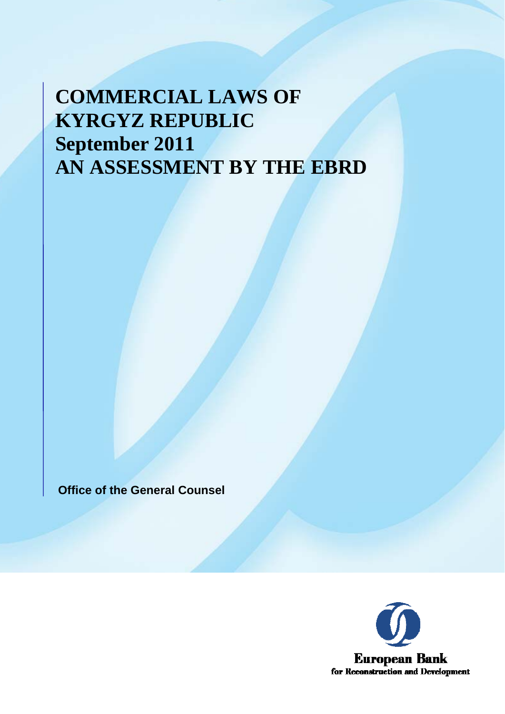# **COMMERCIAL LAWS OF KYRGYZ REPUBLIC September 2011 AN ASSESSMENT BY THE EBRD**

**Office of the General Counsel**

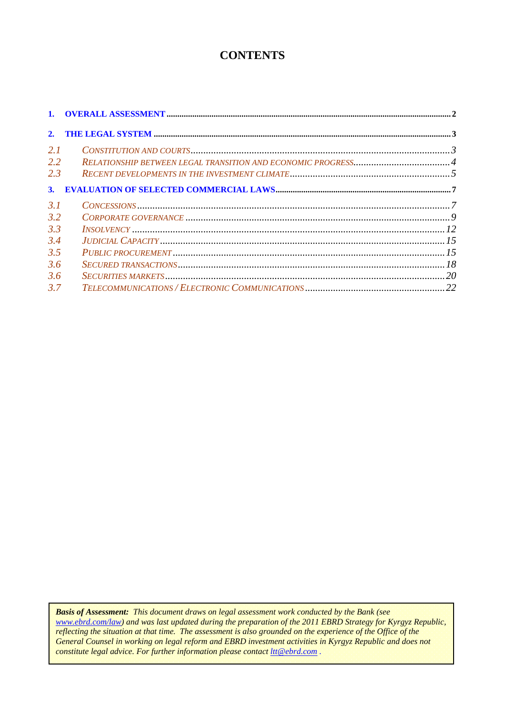# **CONTENTS**

| 2.  |                               |  |
|-----|-------------------------------|--|
| 2.1 |                               |  |
| 2.2 |                               |  |
| 2.3 |                               |  |
| 3.  |                               |  |
| 3.1 |                               |  |
| 3.2 |                               |  |
| 3.3 |                               |  |
| 3.4 |                               |  |
| 3.5 |                               |  |
| 3.6 |                               |  |
| 3.6 | $SECURITIES MARKETS \dots 20$ |  |
| 3.7 |                               |  |

*Basis of Assessment: This document draws on legal assessment work conducted by the Bank (see www.ebrd.com/law) and was last updated during the preparation of the 2011 EBRD Strategy for Kyrgyz Republic, reflecting the situation at that time. The assessment is also grounded on the experience of the Office of the General Counsel in working on legal reform and EBRD investment activities in Kyrgyz Republic and does not constitute legal advice. For further information please contact ltt@ebrd.com .*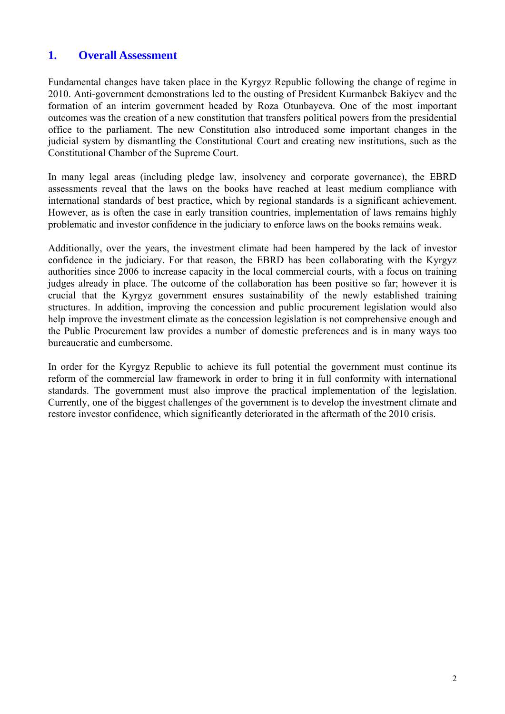## <span id="page-2-0"></span>**1. Overall Assessment**

Fundamental changes have taken place in the Kyrgyz Republic following the change of regime in 2010. Anti-government demonstrations led to the ousting of President Kurmanbek Bakiyev and the formation of an interim government headed by Roza Otunbayeva. One of the most important outcomes was the creation of a new constitution that transfers political powers from the presidential office to the parliament. The new Constitution also introduced some important changes in the judicial system by dismantling the Constitutional Court and creating new institutions, such as the Constitutional Chamber of the Supreme Court.

In many legal areas (including pledge law, insolvency and corporate governance), the EBRD assessments reveal that the laws on the books have reached at least medium compliance with international standards of best practice, which by regional standards is a significant achievement. However, as is often the case in early transition countries, implementation of laws remains highly problematic and investor confidence in the judiciary to enforce laws on the books remains weak.

Additionally, over the years, the investment climate had been hampered by the lack of investor confidence in the judiciary. For that reason, the EBRD has been collaborating with the Kyrgyz authorities since 2006 to increase capacity in the local commercial courts, with a focus on training judges already in place. The outcome of the collaboration has been positive so far; however it is crucial that the Kyrgyz government ensures sustainability of the newly established training structures. In addition, improving the concession and public procurement legislation would also help improve the investment climate as the concession legislation is not comprehensive enough and the Public Procurement law provides a number of domestic preferences and is in many ways too bureaucratic and cumbersome.

In order for the Kyrgyz Republic to achieve its full potential the government must continue its reform of the commercial law framework in order to bring it in full conformity with international standards. The government must also improve the practical implementation of the legislation. Currently, one of the biggest challenges of the government is to develop the investment climate and restore investor confidence, which significantly deteriorated in the aftermath of the 2010 crisis.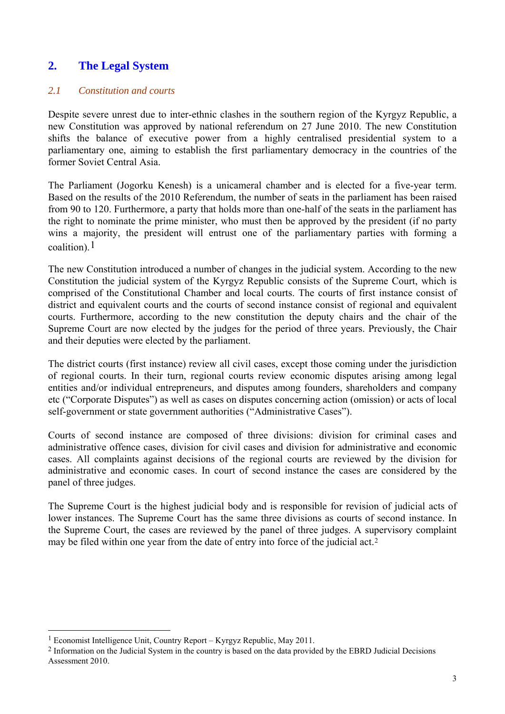# <span id="page-3-0"></span>**2. The Legal System**

## *2.1 Constitution and courts*

Despite severe unrest due to inter-ethnic clashes in the southern region of the Kyrgyz Republic, a new Constitution was approved by national referendum on 27 June 2010. The new Constitution shifts the balance of executive power from a highly centralised presidential system to a parliamentary one, aiming to establish the first parliamentary democracy in the countries of the former Soviet Central Asia.

The Parliament (Jogorku Kenesh) is a unicameral chamber and is elected for a five-year term. Based on the results of the 2010 Referendum, the number of seats in the parliament has been raised from 90 to 120. Furthermore, a party that holds more than one-half of the seats in the parliament has the right to nominate the prime minister, who must then be approved by the president (if no party wins a majority, the president will entrust one of the parliamentary parties with forming a coalition). $1$ 

The new Constitution introduced a number of changes in the judicial system. According to the new Constitution the judicial system of the Kyrgyz Republic consists of the Supreme Court, which is comprised of the Constitutional Chamber and local courts. The courts of first instance consist of district and equivalent courts and the courts of second instance consist of regional and equivalent courts. Furthermore, according to the new constitution the deputy chairs and the chair of the Supreme Court are now elected by the judges for the period of three years. Previously, the Chair and their deputies were elected by the parliament.

The district courts (first instance) review all civil cases, except those coming under the jurisdiction of regional courts. In their turn, regional courts review economic disputes arising among legal entities and/or individual entrepreneurs, and disputes among founders, shareholders and company etc ("Corporate Disputes") as well as cases on disputes concerning action (omission) or acts of local self-government or state government authorities ("Administrative Cases").

Courts of second instance are composed of three divisions: division for criminal cases and administrative offence cases, division for civil cases and division for administrative and economic cases. All complaints against decisions of the regional courts are reviewed by the division for administrative and economic cases. In court of second instance the cases are considered by the panel of three judges.

The Supreme Court is the highest judicial body and is responsible for revision of judicial acts of lower instances. The Supreme Court has the same three divisions as courts of second instance. In the Supreme Court, the cases are reviewed by the panel of three judges. A supervisory complaint may be filed within one year from the date of entry into force of the judicial act.[2](#page-3-2)

 $\overline{\phantom{a}}$ 

<span id="page-3-1"></span><sup>1</sup> Economist Intelligence Unit, Country Report – Kyrgyz Republic, May 2011.

<span id="page-3-2"></span><sup>2</sup> Information on the Judicial System in the country is based on the data provided by the EBRD Judicial Decisions Assessment 2010.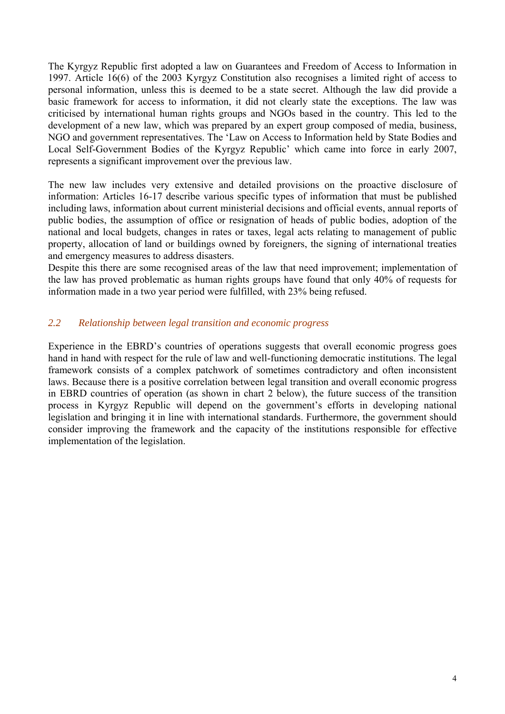<span id="page-4-0"></span>The Kyrgyz Republic first adopted a law on Guarantees and Freedom of Access to Information in 1997. Article 16(6) of the 2003 Kyrgyz Constitution also recognises a limited right of access to personal information, unless this is deemed to be a state secret. Although the law did provide a basic framework for access to information, it did not clearly state the exceptions. The law was criticised by international human rights groups and NGOs based in the country. This led to the development of a new law, which was prepared by an expert group composed of media, business, NGO and government representatives. The 'Law on Access to Information held by State Bodies and Local Self-Government Bodies of the Kyrgyz Republic' which came into force in early 2007, represents a significant improvement over the previous law.

The new law includes very extensive and detailed provisions on the proactive disclosure of information: Articles 16-17 describe various specific types of information that must be published including laws, information about current ministerial decisions and official events, annual reports of public bodies, the assumption of office or resignation of heads of public bodies, adoption of the national and local budgets, changes in rates or taxes, legal acts relating to management of public property, allocation of land or buildings owned by foreigners, the signing of international treaties and emergency measures to address disasters.

Despite this there are some recognised areas of the law that need improvement; implementation of the law has proved problematic as human rights groups have found that only 40% of requests for information made in a two year period were fulfilled, with 23% being refused.

## *2.2 Relationship between legal transition and economic progress*

Experience in the EBRD's countries of operations suggests that overall economic progress goes hand in hand with respect for the rule of law and well-functioning democratic institutions. The legal framework consists of a complex patchwork of sometimes contradictory and often inconsistent laws. Because there is a positive correlation between legal transition and overall economic progress in EBRD countries of operation (as shown in chart 2 below), the future success of the transition process in Kyrgyz Republic will depend on the government's efforts in developing national legislation and bringing it in line with international standards. Furthermore, the government should consider improving the framework and the capacity of the institutions responsible for effective implementation of the legislation.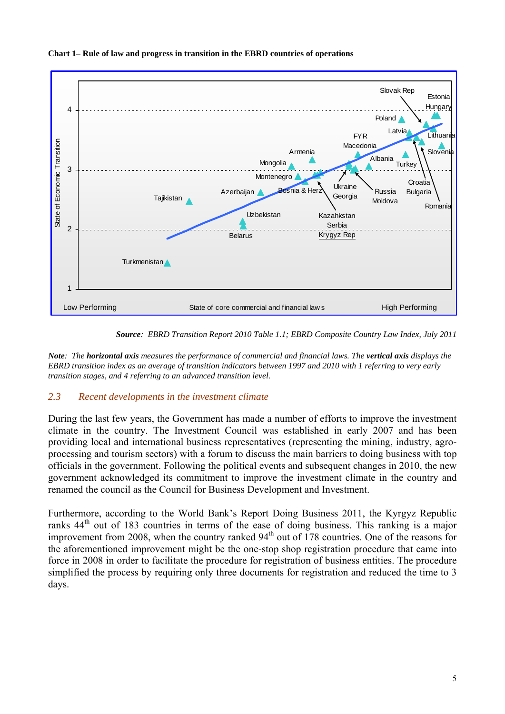<span id="page-5-0"></span>



*Source: EBRD Transition Report 2010 Table 1.1; EBRD Composite Country Law Index, July 2011* 

*Note: The horizontal axis measures the performance of commercial and financial laws. The vertical axis displays the EBRD transition index as an average of transition indicators between 1997 and 2010 with 1 referring to very early transition stages, and 4 referring to an advanced transition level.* 

## *2.3 Recent developments in the investment climate*

During the last few years, the Government has made a number of efforts to improve the investment climate in the country. The Investment Council was established in early 2007 and has been providing local and international business representatives (representing the mining, industry, agroprocessing and tourism sectors) with a forum to discuss the main barriers to doing business with top officials in the government. Following the political events and subsequent changes in 2010, the new government acknowledged its commitment to improve the investment climate in the country and renamed the council as the Council for Business Development and Investment.

Furthermore, according to the World Bank's Report Doing Business 2011, the Kyrgyz Republic ranks 44<sup>th</sup> out of 183 countries in terms of the ease of doing business. This ranking is a major improvement from 2008, when the country ranked  $94<sup>th</sup>$  out of 178 countries. One of the reasons for the aforementioned improvement might be the one-stop shop registration procedure that came into force in 2008 in order to facilitate the procedure for registration of business entities. The procedure simplified the process by requiring only three documents for registration and reduced the time to 3 days.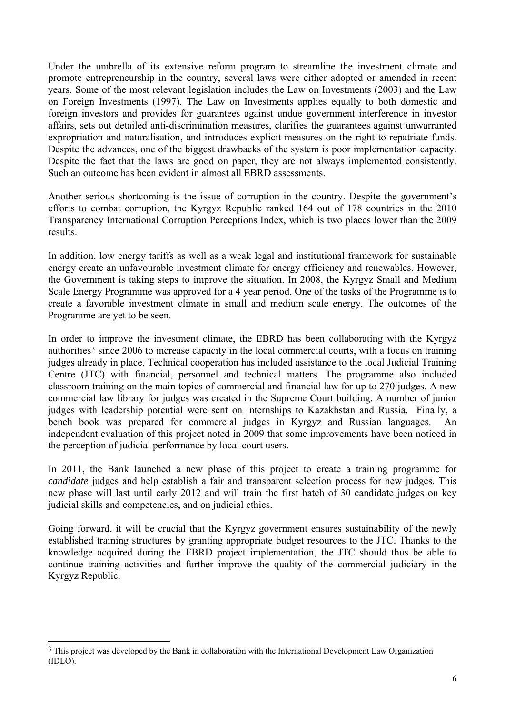Under the umbrella of its extensive reform program to streamline the investment climate and promote entrepreneurship in the country, several laws were either adopted or amended in recent years. Some of the most relevant legislation includes the Law on Investments (2003) and the Law on Foreign Investments (1997). The Law on Investments applies equally to both domestic and foreign investors and provides for guarantees against undue government interference in investor affairs, sets out detailed anti-discrimination measures, clarifies the guarantees against unwarranted expropriation and naturalisation, and introduces explicit measures on the right to repatriate funds. Despite the advances, one of the biggest drawbacks of the system is poor implementation capacity. Despite the fact that the laws are good on paper, they are not always implemented consistently. Such an outcome has been evident in almost all EBRD assessments.

Another serious shortcoming is the issue of corruption in the country. Despite the government's efforts to combat corruption, the Kyrgyz Republic ranked 164 out of 178 countries in the 2010 Transparency International Corruption Perceptions Index, which is two places lower than the 2009 results.

In addition, low energy tariffs as well as a weak legal and institutional framework for sustainable energy create an unfavourable investment climate for energy efficiency and renewables. However, the Government is taking steps to improve the situation. In 2008, the Kyrgyz Small and Medium Scale Energy Programme was approved for a 4 year period. One of the tasks of the Programme is to create a favorable investment climate in small and medium scale energy. The outcomes of the Programme are yet to be seen.

In order to improve the investment climate, the EBRD has been collaborating with the Kyrgyz authorities<sup>[3](#page-6-0)</sup> since 2006 to increase capacity in the local commercial courts, with a focus on training judges already in place. Technical cooperation has included assistance to the local Judicial Training Centre (JTC) with financial, personnel and technical matters. The programme also included classroom training on the main topics of commercial and financial law for up to 270 judges. A new commercial law library for judges was created in the Supreme Court building. A number of junior judges with leadership potential were sent on internships to Kazakhstan and Russia. Finally, a bench book was prepared for commercial judges in Kyrgyz and Russian languages. An independent evaluation of this project noted in 2009 that some improvements have been noticed in the perception of judicial performance by local court users.

In 2011, the Bank launched a new phase of this project to create a training programme for *candidate* judges and help establish a fair and transparent selection process for new judges. This new phase will last until early 2012 and will train the first batch of 30 candidate judges on key judicial skills and competencies, and on judicial ethics.

Going forward, it will be crucial that the Kyrgyz government ensures sustainability of the newly established training structures by granting appropriate budget resources to the JTC. Thanks to the knowledge acquired during the EBRD project implementation, the JTC should thus be able to continue training activities and further improve the quality of the commercial judiciary in the Kyrgyz Republic.

 $\overline{\phantom{a}}$ 

<span id="page-6-0"></span><sup>&</sup>lt;sup>3</sup> This project was developed by the Bank in collaboration with the International Development Law Organization (IDLO).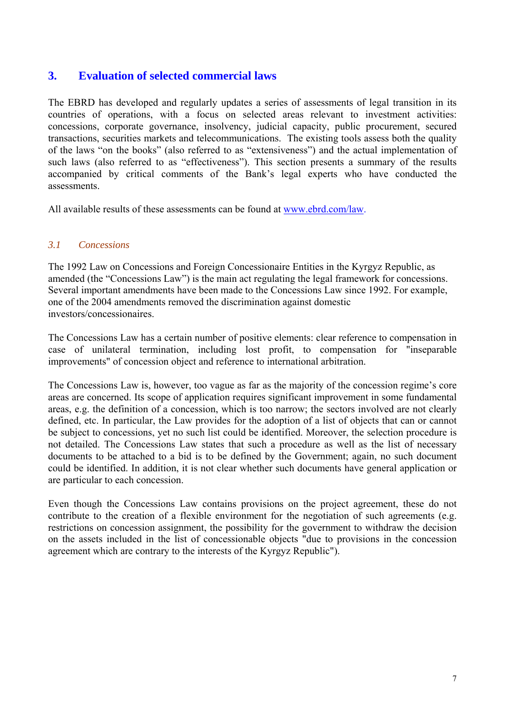# <span id="page-7-0"></span>**3. Evaluation of selected commercial laws**

The EBRD has developed and regularly updates a series of assessments of legal transition in its countries of operations, with a focus on selected areas relevant to investment activities: concessions, corporate governance, insolvency, judicial capacity, public procurement, secured transactions, securities markets and telecommunications. The existing tools assess both the quality of the laws "on the books" (also referred to as "extensiveness") and the actual implementation of such laws (also referred to as "effectiveness"). This section presents a summary of the results accompanied by critical comments of the Bank's legal experts who have conducted the assessments.

All available results of these assessments can be found at [www.ebrd.com/law.](http://www.ebrd.com/law)

## *3.1 Concessions*

The 1992 Law on Concessions and Foreign Concessionaire Entities in the Kyrgyz Republic, as amended (the "Concessions Law") is the main act regulating the legal framework for concessions. Several important amendments have been made to the Concessions Law since 1992. For example, one of the 2004 amendments removed the discrimination against domestic investors/concessionaires.

The Concessions Law has a certain number of positive elements: clear reference to compensation in case of unilateral termination, including lost profit, to compensation for "inseparable improvements" of concession object and reference to international arbitration.

The Concessions Law is, however, too vague as far as the majority of the concession regime's core areas are concerned. Its scope of application requires significant improvement in some fundamental areas, e.g. the definition of a concession, which is too narrow; the sectors involved are not clearly defined, etc. In particular, the Law provides for the adoption of a list of objects that can or cannot be subject to concessions, yet no such list could be identified. Moreover, the selection procedure is not detailed. The Concessions Law states that such a procedure as well as the list of necessary documents to be attached to a bid is to be defined by the Government; again, no such document could be identified. In addition, it is not clear whether such documents have general application or are particular to each concession.

Even though the Concessions Law contains provisions on the project agreement, these do not contribute to the creation of a flexible environment for the negotiation of such agreements (e.g. restrictions on concession assignment, the possibility for the government to withdraw the decision on the assets included in the list of concessionable objects "due to provisions in the concession agreement which are contrary to the interests of the Kyrgyz Republic").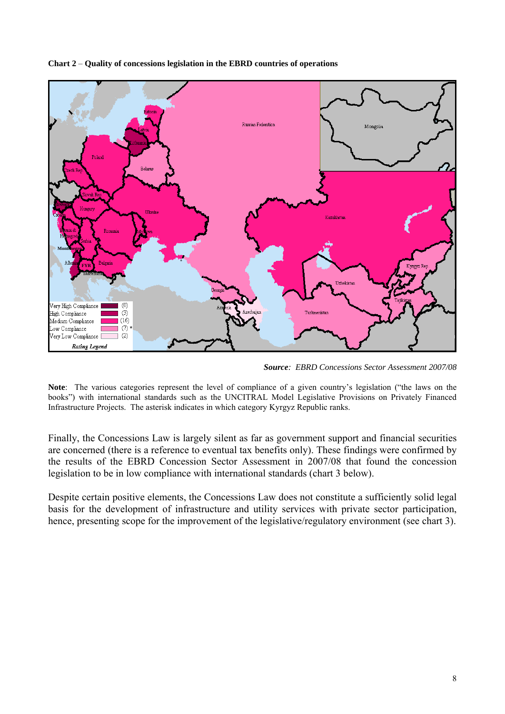

**Chart 2** – **Quality of concessions legislation in the EBRD countries of operations** 

*Source: EBRD Concessions Sector Assessment 2007/08* 

**Note**: The various categories represent the level of compliance of a given country's legislation ("the laws on the books") with international standards such as the UNCITRAL Model Legislative Provisions on Privately Financed Infrastructure Projects. The asterisk indicates in which category Kyrgyz Republic ranks.

Finally, the Concessions Law is largely silent as far as government support and financial securities are concerned (there is a reference to eventual tax benefits only). These findings were confirmed by the results of the EBRD Concession Sector Assessment in 2007/08 that found the concession legislation to be in low compliance with international standards (chart 3 below).

Despite certain positive elements, the Concessions Law does not constitute a sufficiently solid legal basis for the development of infrastructure and utility services with private sector participation, hence, presenting scope for the improvement of the legislative/regulatory environment (see chart 3).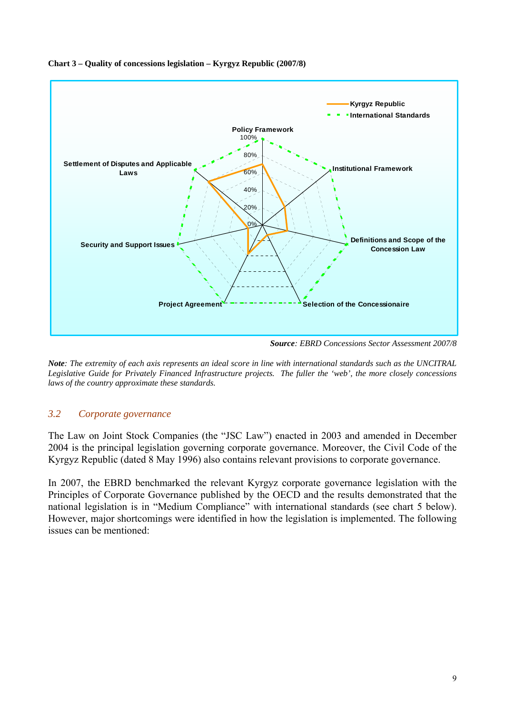

#### <span id="page-9-0"></span>**Chart 3 – Quality of concessions legislation – Kyrgyz Republic (2007/8)**

*Source: EBRD Concessions Sector Assessment 2007/8* 

*Note: The extremity of each axis represents an ideal score in line with international standards such as the UNCITRAL Legislative Guide for Privately Financed Infrastructure projects. The fuller the 'web', the more closely concessions laws of the country approximate these standards.* 

## *3.2 Corporate governance*

The Law on Joint Stock Companies (the "JSC Law") enacted in 2003 and amended in December 2004 is the principal legislation governing corporate governance. Moreover, the Civil Code of the Kyrgyz Republic (dated 8 May 1996) also contains relevant provisions to corporate governance.

In 2007, the EBRD benchmarked the relevant Kyrgyz corporate governance legislation with the Principles of Corporate Governance published by the OECD and the results demonstrated that the national legislation is in "Medium Compliance" with international standards (see chart 5 below). However, major shortcomings were identified in how the legislation is implemented. The following issues can be mentioned: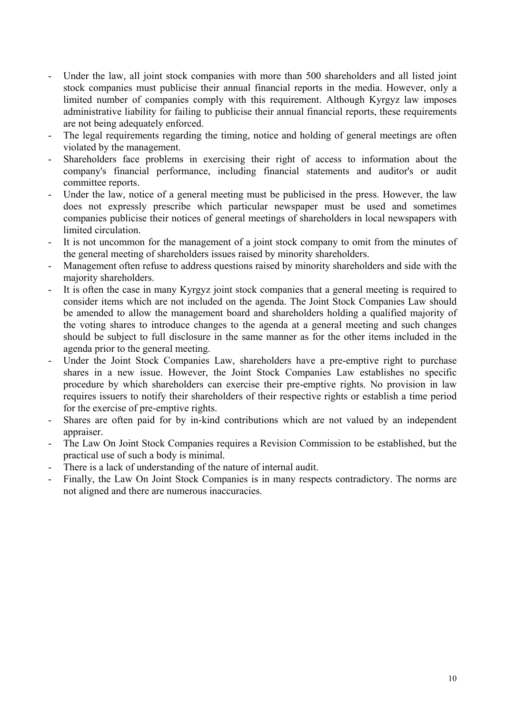- Under the law, all joint stock companies with more than 500 shareholders and all listed joint stock companies must publicise their annual financial reports in the media. However, only a limited number of companies comply with this requirement. Although Kyrgyz law imposes administrative liability for failing to publicise their annual financial reports, these requirements are not being adequately enforced.
- The legal requirements regarding the timing, notice and holding of general meetings are often violated by the management.
- Shareholders face problems in exercising their right of access to information about the company's financial performance, including financial statements and auditor's or audit committee reports.
- Under the law, notice of a general meeting must be publicised in the press. However, the law does not expressly prescribe which particular newspaper must be used and sometimes companies publicise their notices of general meetings of shareholders in local newspapers with limited circulation.
- It is not uncommon for the management of a joint stock company to omit from the minutes of the general meeting of shareholders issues raised by minority shareholders.
- Management often refuse to address questions raised by minority shareholders and side with the majority shareholders.
- It is often the case in many Kyrgyz joint stock companies that a general meeting is required to consider items which are not included on the agenda. The Joint Stock Companies Law should be amended to allow the management board and shareholders holding a qualified majority of the voting shares to introduce changes to the agenda at a general meeting and such changes should be subject to full disclosure in the same manner as for the other items included in the agenda prior to the general meeting.
- Under the Joint Stock Companies Law, shareholders have a pre-emptive right to purchase shares in a new issue. However, the Joint Stock Companies Law establishes no specific procedure by which shareholders can exercise their pre-emptive rights. No provision in law requires issuers to notify their shareholders of their respective rights or establish a time period for the exercise of pre-emptive rights.
- Shares are often paid for by in-kind contributions which are not valued by an independent appraiser.
- The Law On Joint Stock Companies requires a Revision Commission to be established, but the practical use of such a body is minimal.
- There is a lack of understanding of the nature of internal audit.
- Finally, the Law On Joint Stock Companies is in many respects contradictory. The norms are not aligned and there are numerous inaccuracies.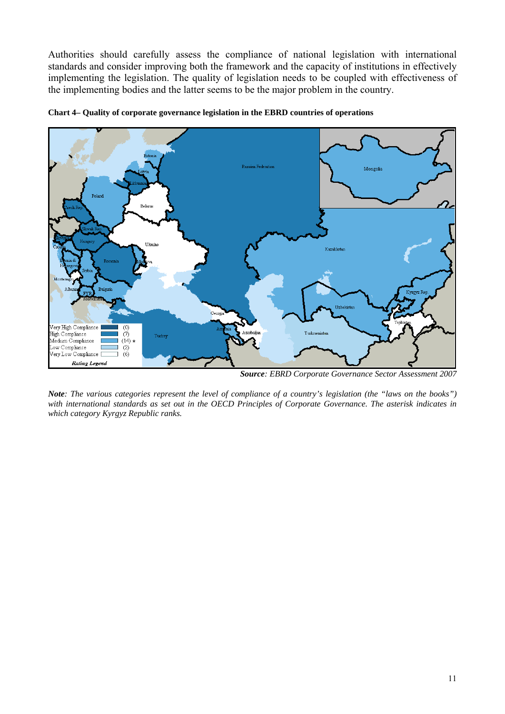Authorities should carefully assess the compliance of national legislation with international standards and consider improving both the framework and the capacity of institutions in effectively implementing the legislation. The quality of legislation needs to be coupled with effectiveness of the implementing bodies and the latter seems to be the major problem in the country.



**Chart 4– Quality of corporate governance legislation in the EBRD countries of operations** 

*Source: EBRD Corporate Governance Sector Assessment 2007* 

*Note: The various categories represent the level of compliance of a country's legislation (the "laws on the books")*  with international standards as set out in the OECD Principles of Corporate Governance. The asterisk indicates in *which category Kyrgyz Republic ranks.*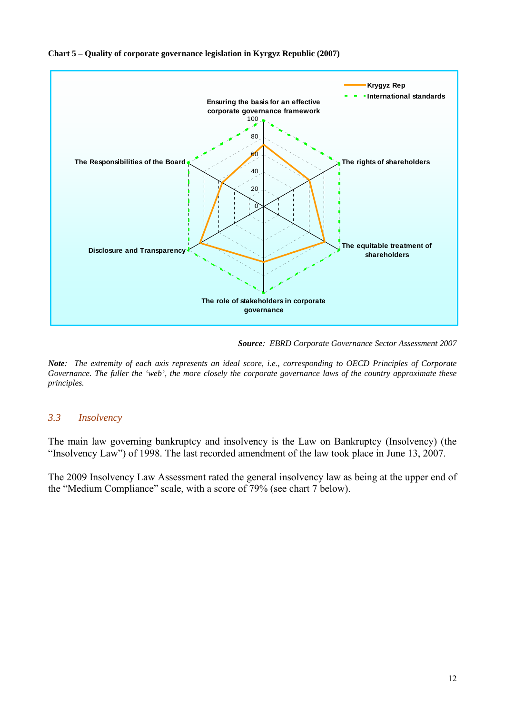<span id="page-12-0"></span>



*Source: EBRD Corporate Governance Sector Assessment 2007* 

*Note: The extremity of each axis represents an ideal score, i.e., corresponding to OECD Principles of Corporate Governance. The fuller the 'web', the more closely the corporate governance laws of the country approximate these principles.* 

### *3.3 Insolvency*

The main law governing bankruptcy and insolvency is the Law on Bankruptcy (Insolvency) (the "Insolvency Law") of 1998. The last recorded amendment of the law took place in June 13, 2007.

The 2009 Insolvency Law Assessment rated the general insolvency law as being at the upper end of the "Medium Compliance" scale, with a score of 79% (see chart 7 below).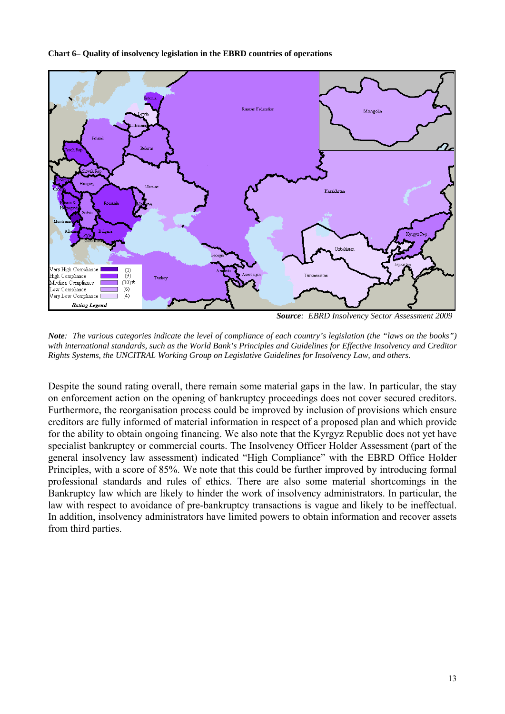#### **Chart 6– Quality of insolvency legislation in the EBRD countries of operations**



*Source: EBRD Insolvency Sector Assessment 2009* 

*Note: The various categories indicate the level of compliance of each country's legislation (the "laws on the books") with international standards, such as the World Bank's Principles and Guidelines for Effective Insolvency and Creditor Rights Systems, the UNCITRAL Working Group on Legislative Guidelines for Insolvency Law, and others.*

Despite the sound rating overall, there remain some material gaps in the law. In particular, the stay on enforcement action on the opening of bankruptcy proceedings does not cover secured creditors. Furthermore, the reorganisation process could be improved by inclusion of provisions which ensure creditors are fully informed of material information in respect of a proposed plan and which provide for the ability to obtain ongoing financing. We also note that the Kyrgyz Republic does not yet have specialist bankruptcy or commercial courts. The Insolvency Officer Holder Assessment (part of the general insolvency law assessment) indicated "High Compliance" with the EBRD Office Holder Principles, with a score of 85%. We note that this could be further improved by introducing formal professional standards and rules of ethics. There are also some material shortcomings in the Bankruptcy law which are likely to hinder the work of insolvency administrators. In particular, the law with respect to avoidance of pre-bankruptcy transactions is vague and likely to be ineffectual. In addition, insolvency administrators have limited powers to obtain information and recover assets from third parties.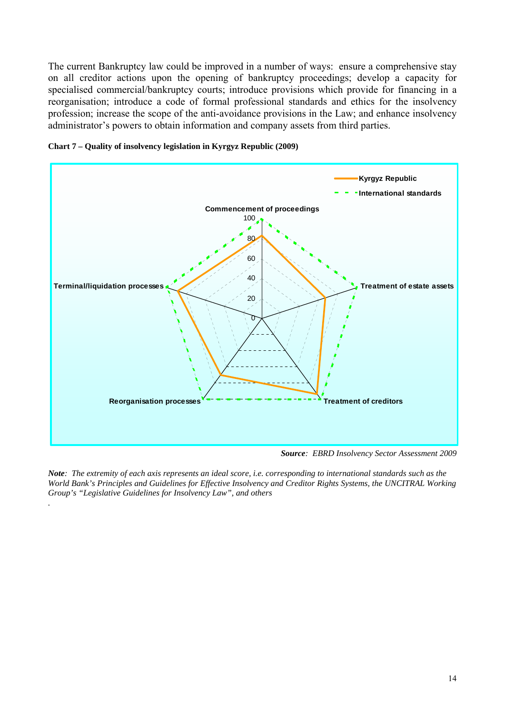The current Bankruptcy law could be improved in a number of ways:ensure a comprehensive stay on all creditor actions upon the opening of bankruptcy proceedings; develop a capacity for specialised commercial/bankruptcy courts; introduce provisions which provide for financing in a reorganisation; introduce a code of formal professional standards and ethics for the insolvency profession; increase the scope of the anti-avoidance provisions in the Law; and enhance insolvency administrator's powers to obtain information and company assets from third parties.





*.*

*Source: EBRD Insolvency Sector Assessment 2009* 

*Note: The extremity of each axis represents an ideal score, i.e. corresponding to international standards such as the World Bank's Principles and Guidelines for Effective Insolvency and Creditor Rights Systems, the UNCITRAL Working Group's "Legislative Guidelines for Insolvency Law", and others*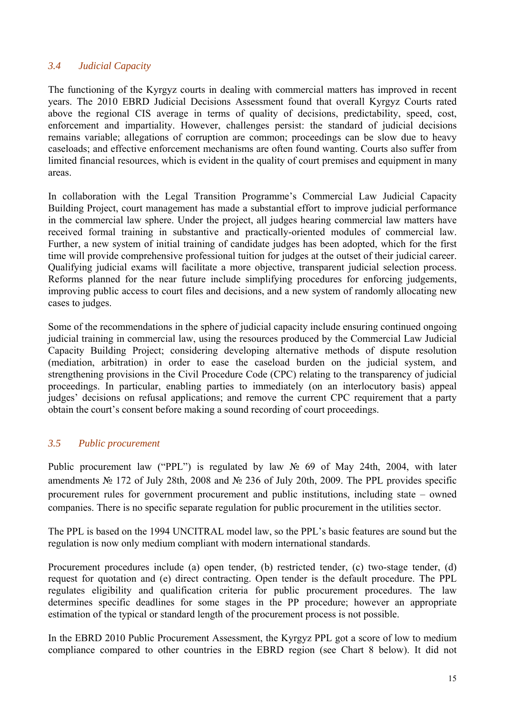## <span id="page-15-0"></span>*3.4 Judicial Capacity*

The functioning of the Kyrgyz courts in dealing with commercial matters has improved in recent years. The 2010 EBRD Judicial Decisions Assessment found that overall Kyrgyz Courts rated above the regional CIS average in terms of quality of decisions, predictability, speed, cost, enforcement and impartiality. However, challenges persist: the standard of judicial decisions remains variable; allegations of corruption are common; proceedings can be slow due to heavy caseloads; and effective enforcement mechanisms are often found wanting. Courts also suffer from limited financial resources, which is evident in the quality of court premises and equipment in many areas.

In collaboration with the Legal Transition Programme's Commercial Law Judicial Capacity Building Project, court management has made a substantial effort to improve judicial performance in the commercial law sphere. Under the project, all judges hearing commercial law matters have received formal training in substantive and practically-oriented modules of commercial law. Further, a new system of initial training of candidate judges has been adopted, which for the first time will provide comprehensive professional tuition for judges at the outset of their judicial career. Qualifying judicial exams will facilitate a more objective, transparent judicial selection process. Reforms planned for the near future include simplifying procedures for enforcing judgements, improving public access to court files and decisions, and a new system of randomly allocating new cases to judges.

Some of the recommendations in the sphere of judicial capacity include ensuring continued ongoing judicial training in commercial law, using the resources produced by the Commercial Law Judicial Capacity Building Project; considering developing alternative methods of dispute resolution (mediation, arbitration) in order to ease the caseload burden on the judicial system, and strengthening provisions in the Civil Procedure Code (CPC) relating to the transparency of judicial proceedings. In particular, enabling parties to immediately (on an interlocutory basis) appeal judges' decisions on refusal applications; and remove the current CPC requirement that a party obtain the court's consent before making a sound recording of court proceedings.

## *3.5 Public procurement*

Public procurement law ("PPL") is regulated by law № 69 of May 24th, 2004, with later amendments № 172 of July 28th, 2008 and № 236 of July 20th, 2009. The PPL provides specific procurement rules for government procurement and public institutions, including state – owned companies. There is no specific separate regulation for public procurement in the utilities sector.

The PPL is based on the 1994 UNCITRAL model law, so the PPL's basic features are sound but the regulation is now only medium compliant with modern international standards.

Procurement procedures include (a) open tender, (b) restricted tender, (c) two-stage tender, (d) request for quotation and (e) direct contracting. Open tender is the default procedure. The PPL regulates eligibility and qualification criteria for public procurement procedures. The law determines specific deadlines for some stages in the PP procedure; however an appropriate estimation of the typical or standard length of the procurement process is not possible.

In the EBRD 2010 Public Procurement Assessment, the Kyrgyz PPL got a score of low to medium compliance compared to other countries in the EBRD region (see Chart 8 below). It did not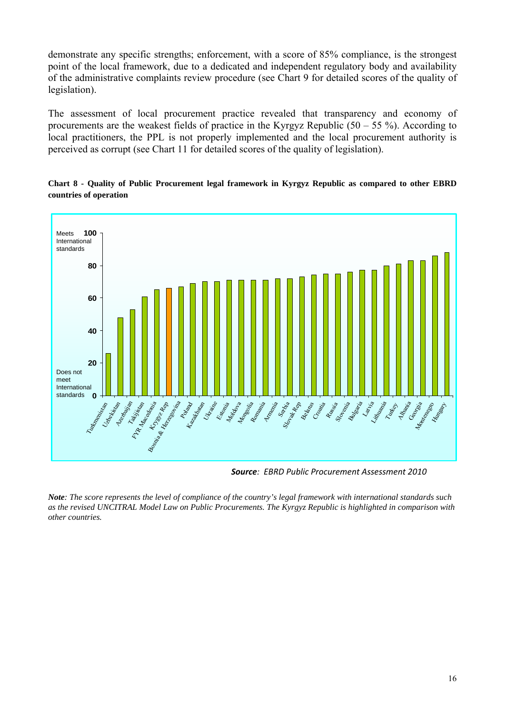demonstrate any specific strengths; enforcement, with a score of 85% compliance, is the strongest point of the local framework, due to a dedicated and independent regulatory body and availability of the administrative complaints review procedure (see Chart 9 for detailed scores of the quality of legislation).

The assessment of local procurement practice revealed that transparency and economy of procurements are the weakest fields of practice in the Kyrgyz Republic  $(50 - 55 \%)$ . According to local practitioners, the PPL is not properly implemented and the local procurement authority is perceived as corrupt (see Chart 11 for detailed scores of the quality of legislation).



**Chart 8 - Quality of Public Procurement legal framework in Kyrgyz Republic as compared to other EBRD countries of operation** 

*Source: EBRD Public Procurement Assessment 2010*

*Note: The score represents the level of compliance of the country's legal framework with international standards such as the revised UNCITRAL Model Law on Public Procurements. The Kyrgyz Republic is highlighted in comparison with other countries.*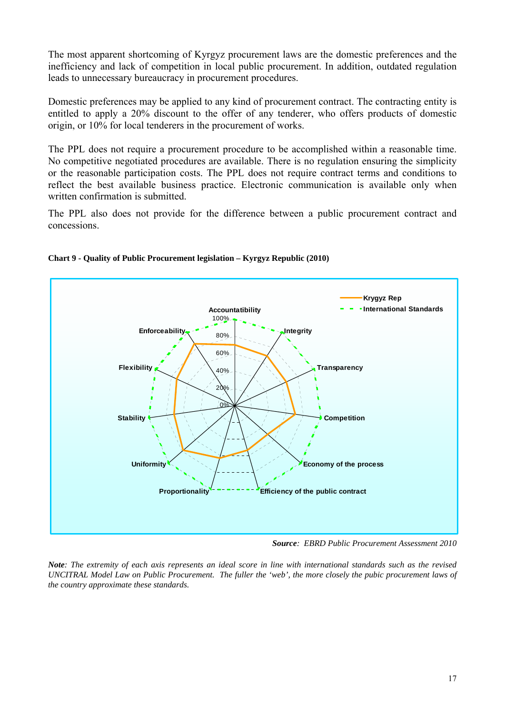The most apparent shortcoming of Kyrgyz procurement laws are the domestic preferences and the inefficiency and lack of competition in local public procurement. In addition, outdated regulation leads to unnecessary bureaucracy in procurement procedures.

Domestic preferences may be applied to any kind of procurement contract. The contracting entity is entitled to apply a 20% discount to the offer of any tenderer, who offers products of domestic origin, or 10% for local tenderers in the procurement of works.

The PPL does not require a procurement procedure to be accomplished within a reasonable time. No competitive negotiated procedures are available. There is no regulation ensuring the simplicity or the reasonable participation costs. The PPL does not require contract terms and conditions to reflect the best available business practice. Electronic communication is available only when written confirmation is submitted.

The PPL also does not provide for the difference between a public procurement contract and concessions.



#### **Chart 9 - Quality of Public Procurement legislation – Kyrgyz Republic (2010)**

*Source: EBRD Public Procurement Assessment 2010* 

*Note: The extremity of each axis represents an ideal score in line with international standards such as the revised UNCITRAL Model Law on Public Procurement. The fuller the 'web', the more closely the pubic procurement laws of the country approximate these standards.*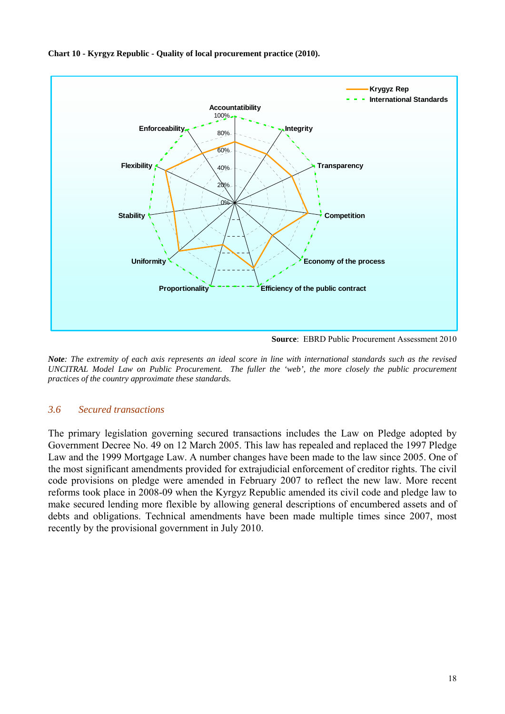<span id="page-18-0"></span>



**Source**: EBRD Public Procurement Assessment 2010

*Note: The extremity of each axis represents an ideal score in line with international standards such as the revised UNCITRAL Model Law on Public Procurement. The fuller the 'web', the more closely the public procurement practices of the country approximate these standards.* 

## *3.6 Secured transactions*

The primary legislation governing secured transactions includes the Law on Pledge adopted by Government Decree No. 49 on 12 March 2005. This law has repealed and replaced the 1997 Pledge Law and the 1999 Mortgage Law. A number changes have been made to the law since 2005. One of the most significant amendments provided for extrajudicial enforcement of creditor rights. The civil code provisions on pledge were amended in February 2007 to reflect the new law. More recent reforms took place in 2008-09 when the Kyrgyz Republic amended its civil code and pledge law to make secured lending more flexible by allowing general descriptions of encumbered assets and of debts and obligations. Technical amendments have been made multiple times since 2007, most recently by the provisional government in July 2010.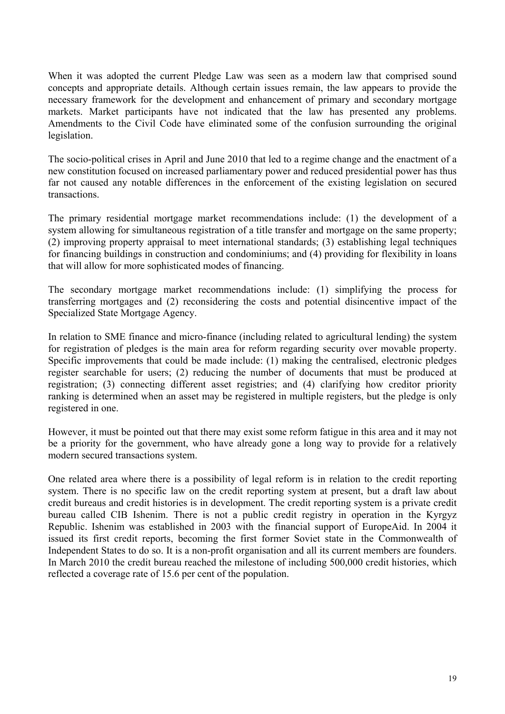When it was adopted the current Pledge Law was seen as a modern law that comprised sound concepts and appropriate details. Although certain issues remain, the law appears to provide the necessary framework for the development and enhancement of primary and secondary mortgage markets. Market participants have not indicated that the law has presented any problems. Amendments to the Civil Code have eliminated some of the confusion surrounding the original legislation.

The socio-political crises in April and June 2010 that led to a regime change and the enactment of a new constitution focused on increased parliamentary power and reduced presidential power has thus far not caused any notable differences in the enforcement of the existing legislation on secured transactions.

The primary residential mortgage market recommendations include: (1) the development of a system allowing for simultaneous registration of a title transfer and mortgage on the same property; (2) improving property appraisal to meet international standards; (3) establishing legal techniques for financing buildings in construction and condominiums; and (4) providing for flexibility in loans that will allow for more sophisticated modes of financing.

The secondary mortgage market recommendations include: (1) simplifying the process for transferring mortgages and (2) reconsidering the costs and potential disincentive impact of the Specialized State Mortgage Agency.

In relation to SME finance and micro-finance (including related to agricultural lending) the system for registration of pledges is the main area for reform regarding security over movable property. Specific improvements that could be made include: (1) making the centralised, electronic pledges register searchable for users; (2) reducing the number of documents that must be produced at registration; (3) connecting different asset registries; and (4) clarifying how creditor priority ranking is determined when an asset may be registered in multiple registers, but the pledge is only registered in one.

However, it must be pointed out that there may exist some reform fatigue in this area and it may not be a priority for the government, who have already gone a long way to provide for a relatively modern secured transactions system.

One related area where there is a possibility of legal reform is in relation to the credit reporting system. There is no specific law on the credit reporting system at present, but a draft law about credit bureaus and credit histories is in development. The credit reporting system is a private credit bureau called CIB Ishenim. There is not a public credit registry in operation in the Kyrgyz Republic. Ishenim was established in 2003 with the financial support of EuropeAid. In 2004 it issued its first credit reports, becoming the first former Soviet state in the Commonwealth of Independent States to do so. It is a non-profit organisation and all its current members are founders. In March 2010 the credit bureau reached the milestone of including 500,000 credit histories, which reflected a coverage rate of 15.6 per cent of the population.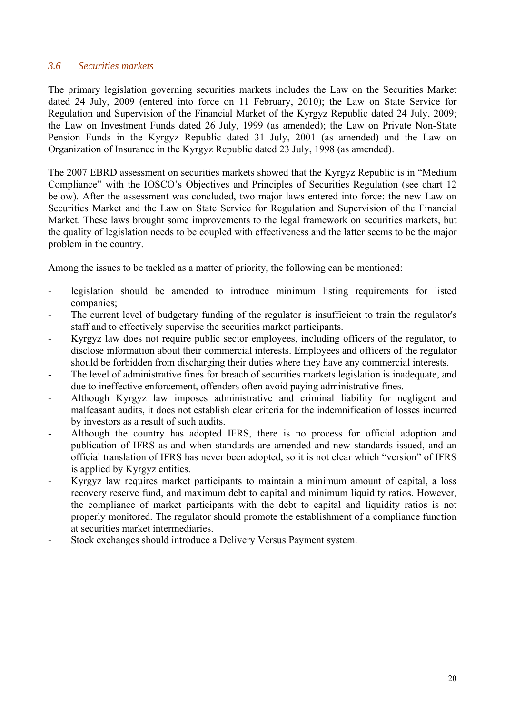## <span id="page-20-0"></span>*3.6 Securities markets*

The primary legislation governing securities markets includes the Law on the Securities Market dated 24 July, 2009 (entered into force on 11 February, 2010); the Law on State Service for Regulation and Supervision of the Financial Market of the Kyrgyz Republic dated 24 July, 2009; the Law on Investment Funds dated 26 July, 1999 (as amended); the Law on Private Non-State Pension Funds in the Kyrgyz Republic dated 31 July, 2001 (as amended) and the Law on Organization of Insurance in the Kyrgyz Republic dated 23 July, 1998 (as amended).

The 2007 EBRD assessment on securities markets showed that the Kyrgyz Republic is in "Medium Compliance" with the IOSCO's Objectives and Principles of Securities Regulation (see chart 12 below). After the assessment was concluded, two major laws entered into force: the new Law on Securities Market and the Law on State Service for Regulation and Supervision of the Financial Market. These laws brought some improvements to the legal framework on securities markets, but the quality of legislation needs to be coupled with effectiveness and the latter seems to be the major problem in the country.

Among the issues to be tackled as a matter of priority, the following can be mentioned:

- legislation should be amended to introduce minimum listing requirements for listed companies;
- The current level of budgetary funding of the regulator is insufficient to train the regulator's staff and to effectively supervise the securities market participants.
- Kyrgyz law does not require public sector employees, including officers of the regulator, to disclose information about their commercial interests. Employees and officers of the regulator should be forbidden from discharging their duties where they have any commercial interests.
- The level of administrative fines for breach of securities markets legislation is inadequate, and due to ineffective enforcement, offenders often avoid paying administrative fines.
- Although Kyrgyz law imposes administrative and criminal liability for negligent and malfeasant audits, it does not establish clear criteria for the indemnification of losses incurred by investors as a result of such audits.
- Although the country has adopted IFRS, there is no process for official adoption and publication of IFRS as and when standards are amended and new standards issued, and an official translation of IFRS has never been adopted, so it is not clear which "version" of IFRS is applied by Kyrgyz entities.
- Kyrgyz law requires market participants to maintain a minimum amount of capital, a loss recovery reserve fund, and maximum debt to capital and minimum liquidity ratios. However, the compliance of market participants with the debt to capital and liquidity ratios is not properly monitored. The regulator should promote the establishment of a compliance function at securities market intermediaries.
- Stock exchanges should introduce a Delivery Versus Payment system.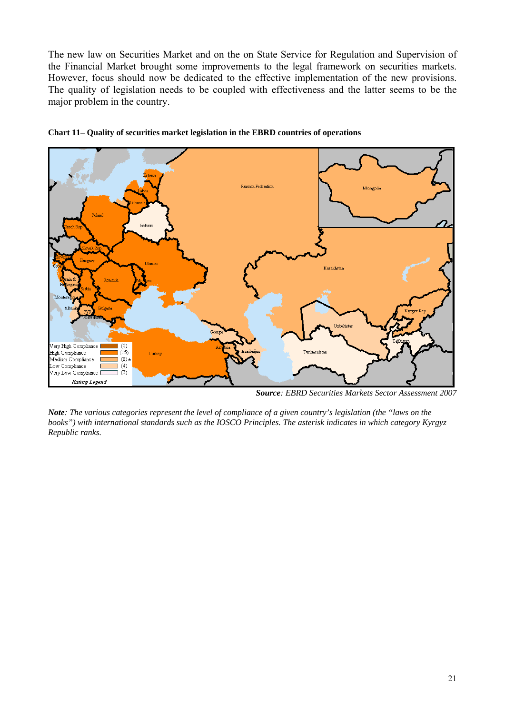The new law on Securities Market and on the on State Service for Regulation and Supervision of the Financial Market brought some improvements to the legal framework on securities markets. However, focus should now be dedicated to the effective implementation of the new provisions. The quality of legislation needs to be coupled with effectiveness and the latter seems to be the major problem in the country.





*Source: EBRD Securities Markets Sector Assessment 2007* 

*Note: The various categories represent the level of compliance of a given country's legislation (the "laws on the books") with international standards such as the IOSCO Principles. The asterisk indicates in which category Kyrgyz Republic ranks.*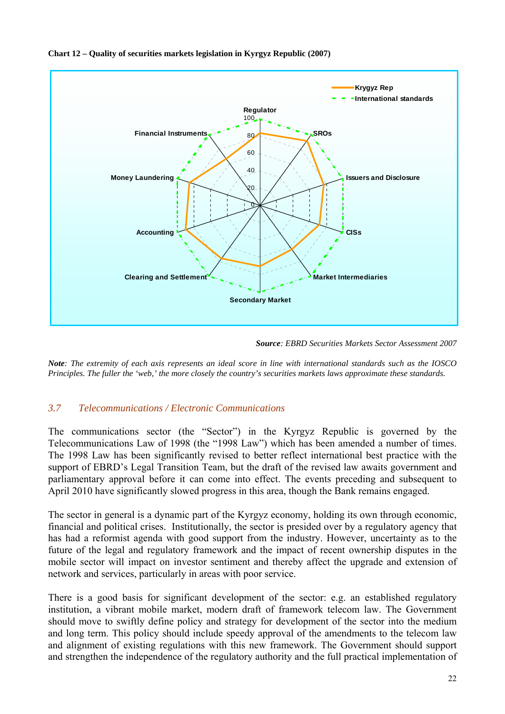

## <span id="page-22-0"></span>**Chart 12 – Quality of securities markets legislation in Kyrgyz Republic (2007)**

*Source: EBRD Securities Markets Sector Assessment 2007* 

*Note: The extremity of each axis represents an ideal score in line with international standards such as the IOSCO Principles. The fuller the 'web,' the more closely the country's securities markets laws approximate these standards.* 

## *3.7 Telecommunications / Electronic Communications*

The communications sector (the "Sector") in the Kyrgyz Republic is governed by the Telecommunications Law of 1998 (the "1998 Law") which has been amended a number of times. The 1998 Law has been significantly revised to better reflect international best practice with the support of EBRD's Legal Transition Team, but the draft of the revised law awaits government and parliamentary approval before it can come into effect. The events preceding and subsequent to April 2010 have significantly slowed progress in this area, though the Bank remains engaged.

The sector in general is a dynamic part of the Kyrgyz economy, holding its own through economic, financial and political crises. Institutionally, the sector is presided over by a regulatory agency that has had a reformist agenda with good support from the industry. However, uncertainty as to the future of the legal and regulatory framework and the impact of recent ownership disputes in the mobile sector will impact on investor sentiment and thereby affect the upgrade and extension of network and services, particularly in areas with poor service.

There is a good basis for significant development of the sector: e.g. an established regulatory institution, a vibrant mobile market, modern draft of framework telecom law. The Government should move to swiftly define policy and strategy for development of the sector into the medium and long term. This policy should include speedy approval of the amendments to the telecom law and alignment of existing regulations with this new framework. The Government should support and strengthen the independence of the regulatory authority and the full practical implementation of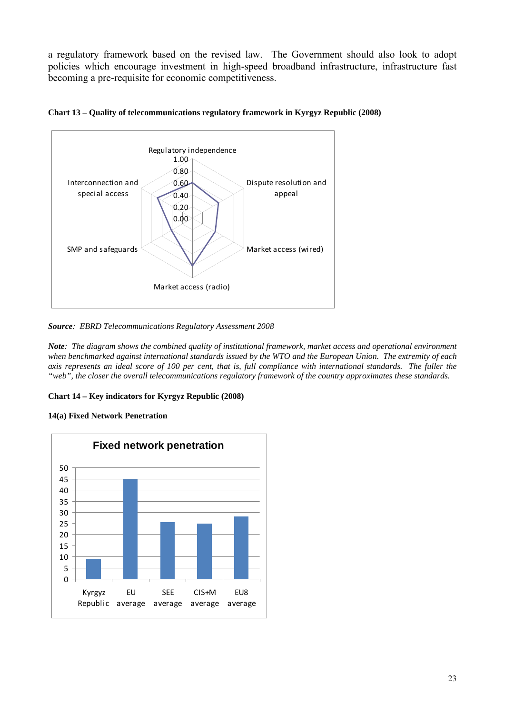a regulatory framework based on the revised law. The Government should also look to adopt policies which encourage investment in high-speed broadband infrastructure, infrastructure fast becoming a pre-requisite for economic competitiveness.





*Source: EBRD Telecommunications Regulatory Assessment 2008* 

*Note: The diagram shows the combined quality of institutional framework, market access and operational environment when benchmarked against international standards issued by the WTO and the European Union. The extremity of each axis represents an ideal score of 100 per cent, that is, full compliance with international standards. The fuller the "web", the closer the overall telecommunications regulatory framework of the country approximates these standards.* 

#### **Chart 14 – Key indicators for Kyrgyz Republic (2008)**

#### **14(a) Fixed Network Penetration**